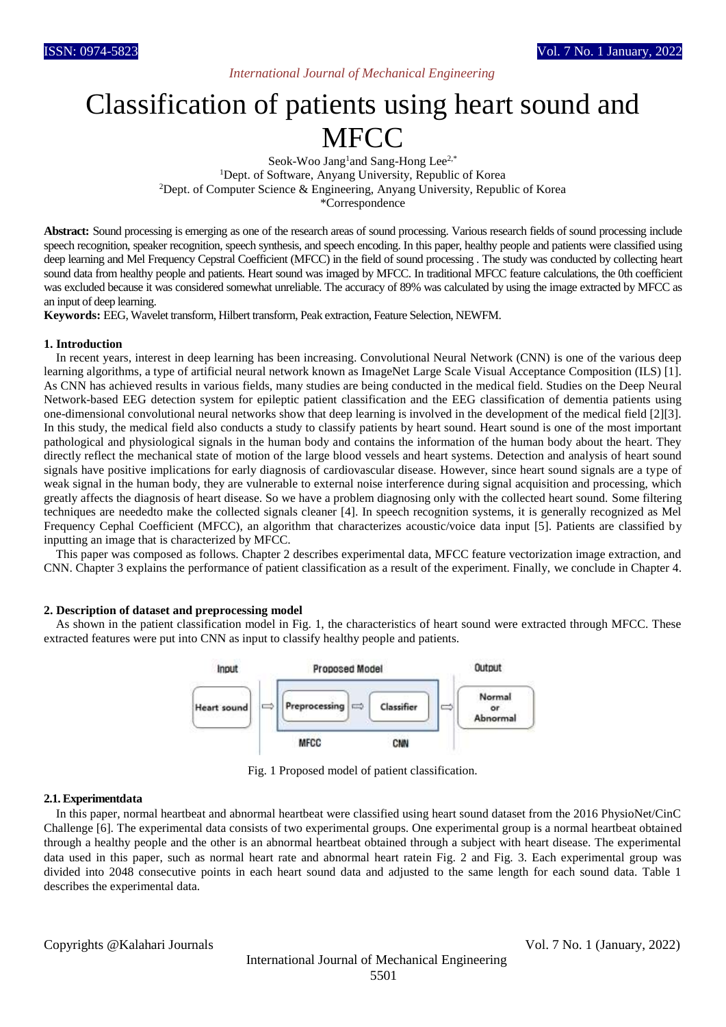## *International Journal of Mechanical Engineering*

# Classification of patients using heart sound and **MFCC**

Seok-Woo Jang<sup>1</sup>and Sang-Hong Lee<sup>2,\*</sup> <sup>1</sup>Dept. of Software, Anyang University, Republic of Korea <sup>2</sup>Dept. of Computer Science & Engineering, Anyang University, Republic of Korea \*Correspondence

**Abstract:** Sound processing is emerging as one of the research areas of sound processing. Various research fields of sound processing include speech recognition, speaker recognition, speech synthesis, and speech encoding. In this paper, healthy people and patients were classified using deep learning and Mel Frequency Cepstral Coefficient (MFCC) in the field of sound processing . The study was conducted by collecting heart sound data from healthy people and patients. Heart sound was imaged by MFCC. In traditional MFCC feature calculations, the 0th coefficient was excluded because it was considered somewhat unreliable. The accuracy of 89% was calculated by using the image extracted by MFCC as an input of deep learning.

**Keywords:** EEG, Wavelet transform, Hilbert transform, Peak extraction, Feature Selection, NEWFM.

#### **1. Introduction**

In recent years, interest in deep learning has been increasing. Convolutional Neural Network (CNN) is one of the various deep learning algorithms, a type of artificial neural network known as ImageNet Large Scale Visual Acceptance Composition (ILS) [1]. As CNN has achieved results in various fields, many studies are being conducted in the medical field. Studies on the Deep Neural Network-based EEG detection system for epileptic patient classification and the EEG classification of dementia patients using one-dimensional convolutional neural networks show that deep learning is involved in the development of the medical field [2][3]. In this study, the medical field also conducts a study to classify patients by heart sound. Heart sound is one of the most important pathological and physiological signals in the human body and contains the information of the human body about the heart. They directly reflect the mechanical state of motion of the large blood vessels and heart systems. Detection and analysis of heart sound signals have positive implications for early diagnosis of cardiovascular disease. However, since heart sound signals are a type of weak signal in the human body, they are vulnerable to external noise interference during signal acquisition and processing, which greatly affects the diagnosis of heart disease. So we have a problem diagnosing only with the collected heart sound. Some filtering techniques are neededto make the collected signals cleaner [4]. In speech recognition systems, it is generally recognized as Mel Frequency Cephal Coefficient (MFCC), an algorithm that characterizes acoustic/voice data input [5]. Patients are classified by inputting an image that is characterized by MFCC.

This paper was composed as follows. Chapter 2 describes experimental data, MFCC feature vectorization image extraction, and CNN. Chapter 3 explains the performance of patient classification as a result of the experiment. Finally, we conclude in Chapter 4.

#### **2. Description of dataset and preprocessing model**

As shown in the patient classification model in Fig. 1, the characteristics of heart sound were extracted through MFCC. These extracted features were put into CNN as input to classify healthy people and patients.



Fig. 1 Proposed model of patient classification.

#### **2.1. Experimentdata**

In this paper, normal heartbeat and abnormal heartbeat were classified using heart sound dataset from the 2016 PhysioNet/CinC Challenge [6]. The experimental data consists of two experimental groups. One experimental group is a normal heartbeat obtained through a healthy people and the other is an abnormal heartbeat obtained through a subject with heart disease. The experimental data used in this paper, such as normal heart rate and abnormal heart ratein Fig. 2 and Fig. 3. Each experimental group was divided into 2048 consecutive points in each heart sound data and adjusted to the same length for each sound data. Table 1 describes the experimental data.

Copyrights @Kalahari Journals Vol. 7 No. 1 (January, 2022)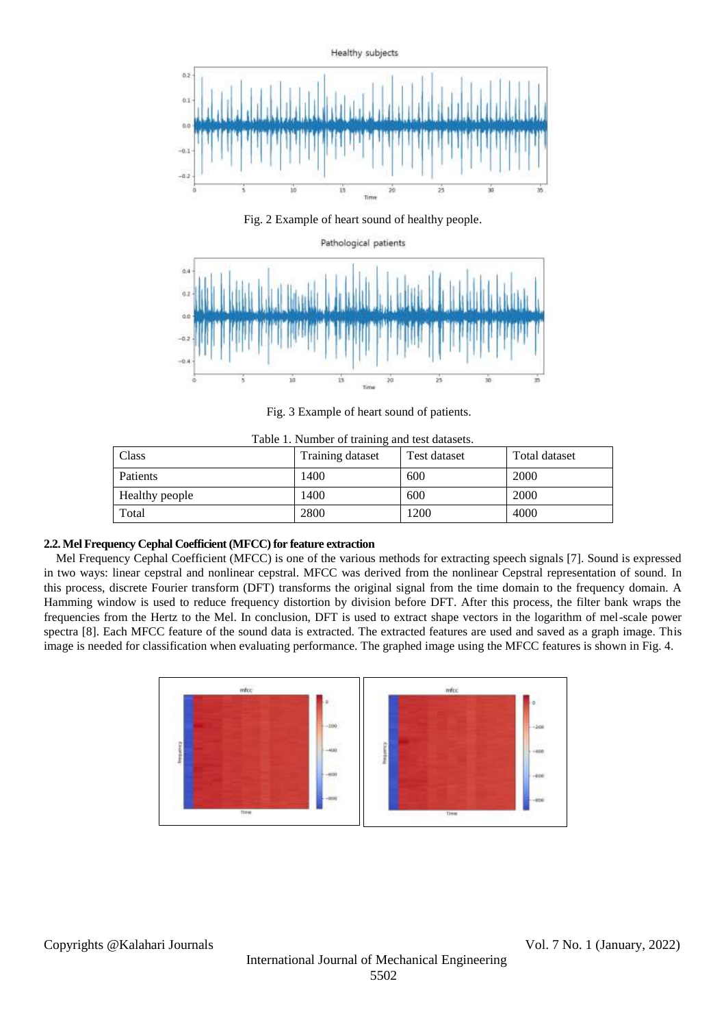

Fig. 2 Example of heart sound of healthy people.



Fig. 3 Example of heart sound of patients.

| Table 1. Number of training and lest datasets. |                |                  |              |               |
|------------------------------------------------|----------------|------------------|--------------|---------------|
|                                                | Class          | Training dataset | Test dataset | Total dataset |
|                                                | Patients       | 1400             | 600          | 2000          |
|                                                | Healthy people | 1400             | 600          | 2000          |
|                                                | Total          | 2800             | 1200         | 4000          |

Table 1. Number of training and test datasets.

## **2.2. Mel Frequency Cephal Coefficient (MFCC) for feature extraction**

Mel Frequency Cephal Coefficient (MFCC) is one of the various methods for extracting speech signals [7]. Sound is expressed in two ways: linear cepstral and nonlinear cepstral. MFCC was derived from the nonlinear Cepstral representation of sound. In this process, discrete Fourier transform (DFT) transforms the original signal from the time domain to the frequency domain. A Hamming window is used to reduce frequency distortion by division before DFT. After this process, the filter bank wraps the frequencies from the Hertz to the Mel. In conclusion, DFT is used to extract shape vectors in the logarithm of mel-scale power spectra [8]. Each MFCC feature of the sound data is extracted. The extracted features are used and saved as a graph image. This image is needed for classification when evaluating performance. The graphed image using the MFCC features is shown in Fig. 4.

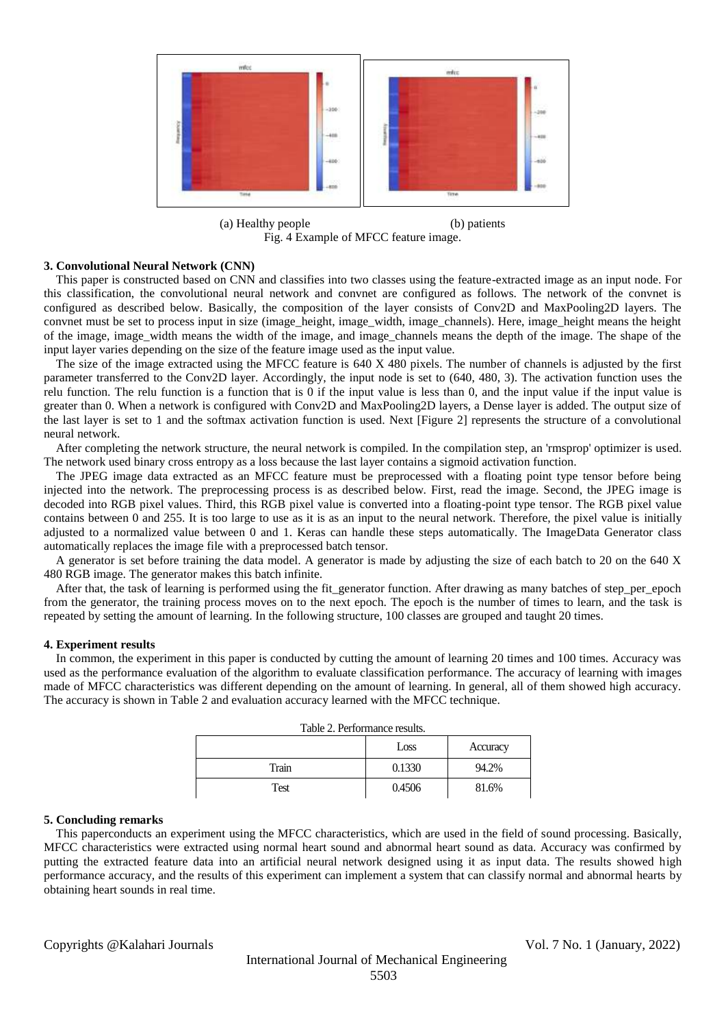

(a) Healthy people (b) patients Fig. 4 Example of MFCC feature image.

#### **3. Convolutional Neural Network (CNN)**

This paper is constructed based on CNN and classifies into two classes using the feature-extracted image as an input node. For this classification, the convolutional neural network and convnet are configured as follows. The network of the convnet is configured as described below. Basically, the composition of the layer consists of Conv2D and MaxPooling2D layers. The convnet must be set to process input in size (image\_height, image\_width, image\_channels). Here, image\_height means the height of the image, image width means the width of the image, and image channels means the depth of the image. The shape of the input layer varies depending on the size of the feature image used as the input value.

The size of the image extracted using the MFCC feature is 640 X 480 pixels. The number of channels is adjusted by the first parameter transferred to the Conv2D layer. Accordingly, the input node is set to (640, 480, 3). The activation function uses the relu function. The relu function is a function that is 0 if the input value is less than 0, and the input value if the input value is greater than 0. When a network is configured with Conv2D and MaxPooling2D layers, a Dense layer is added. The output size of the last layer is set to 1 and the softmax activation function is used. Next [Figure 2] represents the structure of a convolutional neural network.

After completing the network structure, the neural network is compiled. In the compilation step, an 'rmsprop' optimizer is used. The network used binary cross entropy as a loss because the last layer contains a sigmoid activation function.

The JPEG image data extracted as an MFCC feature must be preprocessed with a floating point type tensor before being injected into the network. The preprocessing process is as described below. First, read the image. Second, the JPEG image is decoded into RGB pixel values. Third, this RGB pixel value is converted into a floating-point type tensor. The RGB pixel value contains between 0 and 255. It is too large to use as it is as an input to the neural network. Therefore, the pixel value is initially adjusted to a normalized value between 0 and 1. Keras can handle these steps automatically. The ImageData Generator class automatically replaces the image file with a preprocessed batch tensor.

A generator is set before training the data model. A generator is made by adjusting the size of each batch to 20 on the 640 X 480 RGB image. The generator makes this batch infinite.

After that, the task of learning is performed using the fit\_generator function. After drawing as many batches of step\_per\_epoch from the generator, the training process moves on to the next epoch. The epoch is the number of times to learn, and the task is repeated by setting the amount of learning. In the following structure, 100 classes are grouped and taught 20 times.

#### **4. Experiment results**

In common, the experiment in this paper is conducted by cutting the amount of learning 20 times and 100 times. Accuracy was used as the performance evaluation of the algorithm to evaluate classification performance. The accuracy of learning with images made of MFCC characteristics was different depending on the amount of learning. In general, all of them showed high accuracy. The accuracy is shown in Table 2 and evaluation accuracy learned with the MFCC technique.

| Table 2. Performance results. |        |          |  |  |
|-------------------------------|--------|----------|--|--|
|                               | Loss   | Accuracy |  |  |
| Train                         | 0.1330 | 94.2%    |  |  |
| Test                          | 0.4506 | 81.6%    |  |  |

#### **5. Concluding remarks**

This paperconducts an experiment using the MFCC characteristics, which are used in the field of sound processing. Basically, MFCC characteristics were extracted using normal heart sound and abnormal heart sound as data. Accuracy was confirmed by putting the extracted feature data into an artificial neural network designed using it as input data. The results showed high performance accuracy, and the results of this experiment can implement a system that can classify normal and abnormal hearts by obtaining heart sounds in real time.